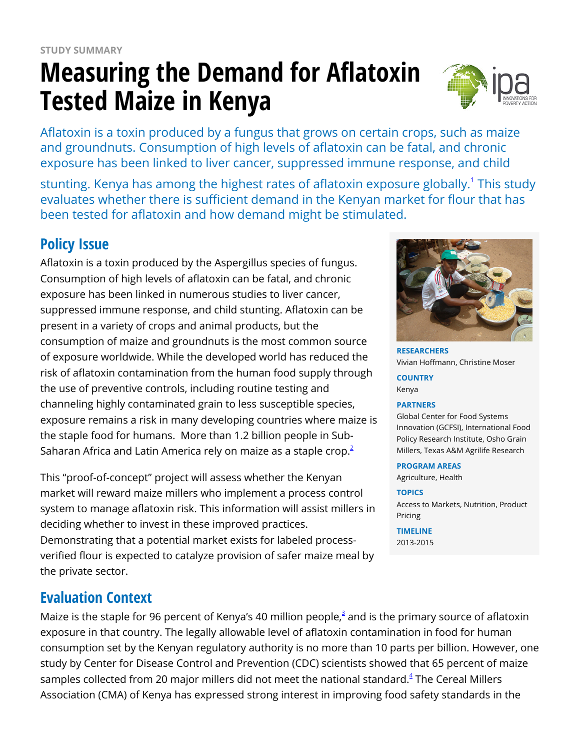# **Measuring the Demand for Aflatoxin Tested Maize in Kenya**



Aflatoxin is a toxin produced by a fungus that grows on certain crops, such as maize and groundnuts. Consumption of high levels of aflatoxin can be fatal, and chronic exposure has been linked to liver cancer, suppressed immune response, and child

stunting. Kenya has among the highest rates of aflatoxin exposure globally. $^{\rm 1}$  $^{\rm 1}$  $^{\rm 1}$  This study evaluates whether there is sufficient demand in the Kenyan market for flour that has been tested for aflatoxin and how demand might be stimulated.

# **Policy Issue**

Aflatoxin is a toxin produced by the Aspergillus species of fungus. Consumption of high levels of aflatoxin can be fatal, and chronic exposure has been linked in numerous studies to liver cancer, suppressed immune response, and child stunting. Aflatoxin can be present in a variety of crops and animal products, but the consumption of maize and groundnuts is the most common source of exposure worldwide. While the developed world has reduced the risk of aflatoxin contamination from the human food supply through the use of preventive controls, including routine testing and channeling highly contaminated grain to less susceptible species, exposure remains a risk in many developing countries where maize is the staple food for humans. More than 1.2 billion people in Sub-Saharan Africa and Latin America rely on maize as a staple crop. $2$ 

This "proof-of-concept" project will assess whether the Kenyan market will reward maize millers who implement a process control system to manage aflatoxin risk. This information will assist millers in deciding whether to invest in these improved practices. Demonstrating that a potential market exists for labeled processverified flour is expected to catalyze provision of safer maize meal by the private sector.

# **Evaluation Context**

Maize is the staple for 96 percent of Kenya's 40 million people, $3$  and is the primary source of aflatoxin exposure in that country. The legally allowable level of aflatoxin contamination in food for human consumption set by the Kenyan regulatory authority is no more than 10 parts per billion. However, one study by Center for Disease Control and Prevention (CDC) scientists showed that 65 percent of maize samples collected from 20 major millers did not meet the national standard.<sup>[4](https://www.poverty-action.org/printpdf/7541#_ftn4)</sup> The Cereal Millers Association (CMA) of Kenya has expressed strong interest in improving food safety standards in the



**RESEARCHERS** Vivian Hoffmann, Christine Moser

**COUNTRY** Kenya

#### **PARTNERS**

Global Center for Food Systems Innovation (GCFSI), International Food Policy Research Institute, Osho Grain Millers, Texas A&M Agrilife Research

#### **PROGRAM AREAS**

Agriculture, Health

#### **TOPICS**

Access to Markets, Nutrition, Product Pricing

**TIMELINE** 2013-2015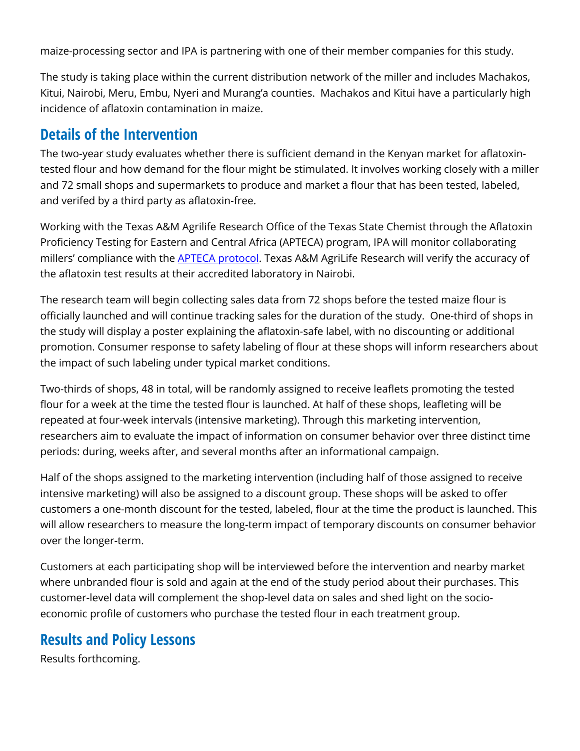maize-processing sector and IPA is partnering with one of their member companies for this study.

The study is taking place within the current distribution network of the miller and includes Machakos, Kitui, Nairobi, Meru, Embu, Nyeri and Murang'a counties. Machakos and Kitui have a particularly high incidence of aflatoxin contamination in maize.

### **Details of the Intervention**

The two-year study evaluates whether there is sufficient demand in the Kenyan market for aflatoxintested flour and how demand for the flour might be stimulated. It involves working closely with a miller and 72 small shops and supermarkets to produce and market a flour that has been tested, labeled, and verifed by a third party as aflatoxin-free.

Working with the Texas A&M Agrilife Research Office of the Texas State Chemist through the Aflatoxin Proficiency Testing for Eastern and Central Africa (APTECA) program, IPA will monitor collaborating millers' compliance with the **[APTECA protocol](http://apteca.tamu.edu/)**. Texas A&M AgriLife Research will verify the accuracy of the aflatoxin test results at their accredited laboratory in Nairobi.

The research team will begin collecting sales data from 72 shops before the tested maize flour is officially launched and will continue tracking sales for the duration of the study. One-third of shops in the study will display a poster explaining the aflatoxin-safe label, with no discounting or additional promotion. Consumer response to safety labeling of flour at these shops will inform researchers about the impact of such labeling under typical market conditions.

Two-thirds of shops, 48 in total, will be randomly assigned to receive leaflets promoting the tested flour for a week at the time the tested flour is launched. At half of these shops, leafleting will be repeated at four-week intervals (intensive marketing). Through this marketing intervention, researchers aim to evaluate the impact of information on consumer behavior over three distinct time periods: during, weeks after, and several months after an informational campaign.

Half of the shops assigned to the marketing intervention (including half of those assigned to receive intensive marketing) will also be assigned to a discount group. These shops will be asked to offer customers a one-month discount for the tested, labeled, flour at the time the product is launched. This will allow researchers to measure the long-term impact of temporary discounts on consumer behavior over the longer-term.

Customers at each participating shop will be interviewed before the intervention and nearby market where unbranded flour is sold and again at the end of the study period about their purchases. This customer-level data will complement the shop-level data on sales and shed light on the socioeconomic profile of customers who purchase the tested flour in each treatment group.

## **Results and Policy Lessons**

Results forthcoming.